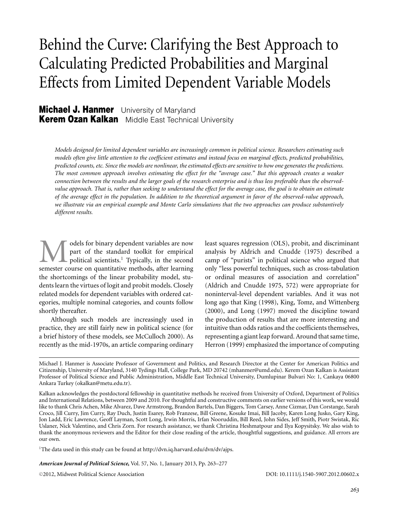# Behind the Curve: Clarifying the Best Approach to Calculating Predicted Probabilities and Marginal Effects from Limited Dependent Variable Models

**Michael J. Hanmer** University of Maryland **Kerem Ozan Kalkan** Middle East Technical University

*Models designed for limited dependent variables are increasingly common in political science. Researchers estimating such models often give little attention to the coefficient estimates and instead focus on marginal effects, predicted probabilities, predicted counts, etc. Since the models are nonlinear, the estimated effects are sensitive to how one generates the predictions. The most common approach involves estimating the effect for the "average case." But this approach creates a weaker connection between the results and the larger goals of the research enterprise and is thus less preferable than the observedvalue approach. That is, rather than seeking to understand the effect for the average case, the goal is to obtain an estimate of the average effect in the population. In addition to the theoretical argument in favor of the observed-value approach, we illustrate via an empirical example and Monte Carlo simulations that the two approaches can produce substantively different results.*

Models for binary dependent variables are now<br>part of the standard toolkit for empirical<br>semester course on quantitative methods, after learning part of the standard toolkit for empirical political scientists.1 Typically, in the second semester course on quantitative methods, after learning the shortcomings of the linear probability model, students learn the virtues of logit and probit models. Closely related models for dependent variables with ordered categories, multiple nominal categories, and counts follow shortly thereafter.

Although such models are increasingly used in practice, they are still fairly new in political science (for a brief history of these models, see McCulloch 2000). As recently as the mid-1970s, an article comparing ordinary least squares regression (OLS), probit, and discriminant analysis by Aldrich and Cnudde (1975) described a camp of "purists" in political science who argued that only "less powerful techniques, such as cross-tabulation or ordinal measures of association and correlation" (Aldrich and Cnudde 1975, 572) were appropriate for noninterval-level dependent variables. And it was not long ago that King (1998), King, Tomz, and Wittenberg (2000), and Long (1997) moved the discipline toward the production of results that are more interesting and intuitive than odds ratios and the coefficients themselves, representing a giant leap forward. Around that same time, Herron (1999) emphasized the importance of computing

Kalkan acknowledges the postdoctoral fellowship in quantitative methods he received from University of Oxford, Department of Politics and International Relations, between 2009 and 2010. For thoughtful and constructive comments on earlier versions of this work, we would like to thank Chris Achen, Mike Alvarez, Dave Armstrong, Brandon Bartels, Dan Biggers, Tom Carsey, Anne Cizmar, Dan Corstange, Sarah Croco, Jill Curry, Jim Curry, Ray Duch, Justin Esarey, Rob Franzese, Bill Greene, Kosuke Imai, Bill Jacoby, Karen Long Jusko, Gary King, Jon Ladd, Eric Lawrence, Geoff Layman, Scott Long, Irwin Morris, Irfan Nooruddin, Bill Reed, John Sides, Jeff Smith, Piotr Swistak, Ric Uslaner, Nick Valentino, and Chris Zorn. For research assistance, we thank Christina Heshmatpour and Ilya Kopysitsky. We also wish to thank the anonymous reviewers and the Editor for their close reading of the article, thoughtful suggestions, and guidance. All errors are our own.

<sup>1</sup>The data used in this study can be found at http://dvn.iq.harvard.edu/dvn/dv/ajps.

*American Journal of Political Science***,** Vol. 57, No. 1, January 2013, Pp. 263–277

-<sup>C</sup> 2012, Midwest Political Science Association DOI: 10.1111/j.1540-5907.2012.00602.x

Michael J. Hanmer is Associate Professor of Government and Politics, and Research Director at the Center for American Politics and Citizenship, University of Maryland, 3140 Tydings Hall, College Park, MD 20742 (mhanmer@umd.edu). Kerem Ozan Kalkan is Assistant Professor of Political Science and Public Administration, Middle East Technical University, Dumlupinar Bulvari No: 1, Cankaya 06800 Ankara Turkey (okalkan@metu.edu.tr).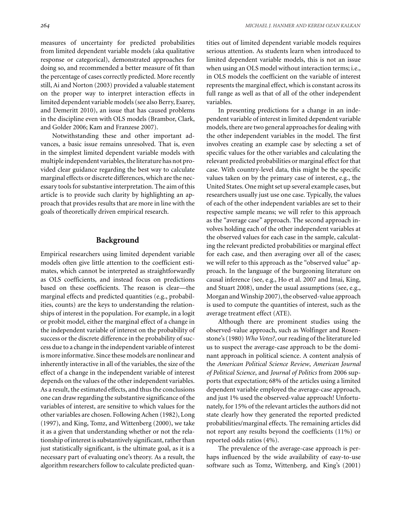measures of uncertainty for predicted probabilities from limited dependent variable models (aka qualitative response or categorical), demonstrated approaches for doing so, and recommended a better measure of fit than the percentage of cases correctly predicted. More recently still, Ai and Norton (2003) provided a valuable statement on the proper way to interpret interaction effects in limited dependent variable models (see also Berry, Esarey, and Demeritt 2010), an issue that has caused problems in the discipline even with OLS models (Brambor, Clark, and Golder 2006; Kam and Franzese 2007).

Notwithstanding these and other important advances, a basic issue remains unresolved. That is, even in the simplest limited dependent variable models with multiple independent variables, the literature has not provided clear guidance regarding the best way to calculate marginal effects or discrete differences, which are the necessary tools for substantive interpretation. The aim of this article is to provide such clarity by highlighting an approach that provides results that are more in line with the goals of theoretically driven empirical research.

#### **Background**

Empirical researchers using limited dependent variable models often give little attention to the coefficient estimates, which cannot be interpreted as straightforwardly as OLS coefficients, and instead focus on predictions based on these coefficients. The reason is clear—the marginal effects and predicted quantities (e.g., probabilities, counts) are the keys to understanding the relationships of interest in the population. For example, in a logit or probit model, either the marginal effect of a change in the independent variable of interest on the probability of success or the discrete difference in the probability of success due to a change in the independent variable of interest is more informative. Since these models are nonlinear and inherently interactive in all of the variables, the size of the effect of a change in the independent variable of interest depends on the values of the other independent variables. As a result, the estimated effects, and thus the conclusions one can draw regarding the substantive significance of the variables of interest, are sensitive to which values for the other variables are chosen. Following Achen (1982), Long (1997), and King, Tomz, and Wittenberg (2000), we take it as a given that understanding whether or not the relationship of interest is substantively significant, rather than just statistically significant, is the ultimate goal, as it is a necessary part of evaluating one's theory. As a result, the algorithm researchers follow to calculate predicted quantities out of limited dependent variable models requires serious attention. As students learn when introduced to limited dependent variable models, this is not an issue when using an OLS model without interaction terms; i.e., in OLS models the coefficient on the variable of interest represents the marginal effect, which is constant across its full range as well as that of all of the other independent variables.

In presenting predictions for a change in an independent variable of interest in limited dependent variable models, there are two general approaches for dealing with the other independent variables in the model. The first involves creating an example case by selecting a set of specific values for the other variables and calculating the relevant predicted probabilities or marginal effect for that case. With country-level data, this might be the specific values taken on by the primary case of interest, e.g., the United States. One might set up several example cases, but researchers usually just use one case. Typically, the values of each of the other independent variables are set to their respective sample means; we will refer to this approach as the "average case" approach. The second approach involves holding each of the other independent variables at the observed values for each case in the sample, calculating the relevant predicted probabilities or marginal effect for each case, and then averaging over all of the cases; we will refer to this approach as the "observed value" approach. In the language of the burgeoning literature on causal inference (see, e.g., Ho et al. 2007 and Imai, King, and Stuart 2008), under the usual assumptions (see, e.g., Morgan and Winship 2007), the observed-value approach is used to compute the quantities of interest, such as the average treatment effect (ATE).

Although there are prominent studies using the observed-value approach, such as Wolfinger and Rosenstone's (1980) *Who Votes?*, our reading of the literature led us to suspect the average-case approach to be the dominant approach in political science. A content analysis of the *American Political Science Review*, *American Journal of Political Science*, and *Journal of Politics* from 2006 supports that expectation; 68% of the articles using a limited dependent variable employed the average-case approach, and just 1% used the observed-value approach! Unfortunately, for 15% of the relevant articles the authors did not state clearly how they generated the reported predicted probabilities/marginal effects. The remaining articles did not report any results beyond the coefficients (11%) or reported odds ratios (4%).

The prevalence of the average-case approach is perhaps influenced by the wide availability of easy-to-use software such as Tomz, Wittenberg, and King's (2001)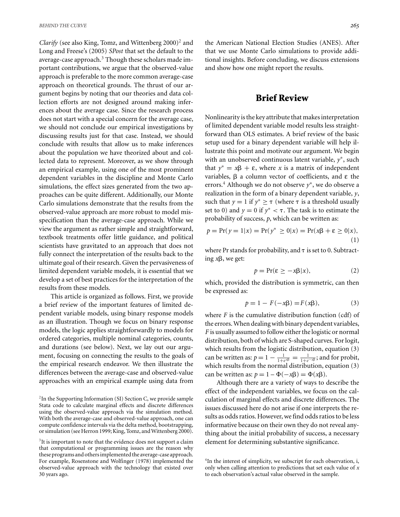*Clarify* (see also King, Tomz, and Wittenberg  $2000$ )<sup>2</sup> and Long and Freese's (2005) *SPost* that set the default to the average-case approach.<sup>3</sup> Though these scholars made important contributions, we argue that the observed-value approach is preferable to the more common average-case approach on theoretical grounds. The thrust of our argument begins by noting that our theories and data collection efforts are not designed around making inferences about the average case. Since the research process does not start with a special concern for the average case, we should not conclude our empirical investigations by discussing results just for that case. Instead, we should conclude with results that allow us to make inferences about the population we have theorized about and collected data to represent. Moreover, as we show through an empirical example, using one of the most prominent dependent variables in the discipline and Monte Carlo simulations, the effect sizes generated from the two approaches can be quite different. Additionally, our Monte Carlo simulations demonstrate that the results from the observed-value approach are more robust to model misspecification than the average-case approach. While we view the argument as rather simple and straightforward, textbook treatments offer little guidance, and political scientists have gravitated to an approach that does not fully connect the interpretation of the results back to the ultimate goal of their research. Given the pervasiveness of limited dependent variable models, it is essential that we develop a set of best practices for the interpretation of the results from these models.

This article is organized as follows. First, we provide a brief review of the important features of limited dependent variable models, using binary response models as an illustration. Though we focus on binary response models, the logic applies straightforwardly to models for ordered categories, multiple nominal categories, counts, and durations (see below). Next, we lay out our argument, focusing on connecting the results to the goals of the empirical research endeavor. We then illustrate the differences between the average-case and observed-value approaches with an empirical example using data from

 $2$ In the Supporting Information (SI) Section C, we provide sample Stata code to calculate marginal effects and discrete differences using the observed-value approach via the simulation method. With both the average-case and observed-value approach, one can compute confidence intervals via the delta method, bootstrapping, or simulation (see Herron 1999; King, Tomz, and Wittenberg 2000).

<sup>3</sup>It is important to note that the evidence does not support a claim that computational or programming issues are the reason why these programs and othersimplemented the average-case approach. For example, Rosenstone and Wolfinger (1978) implemented the observed-value approach with the technology that existed over 30 years ago.

the American National Election Studies (ANES). After that we use Monte Carlo simulations to provide additional insights. Before concluding, we discuss extensions and show how one might report the results.

## **Brief Review**

Nonlinearity is the key attribute that makes interpretation of limited dependent variable model results less straightforward than OLS estimates. A brief review of the basic setup used for a binary dependent variable will help illustrate this point and motivate our argument. We begin with an unobserved continuous latent variable, *y*∗, such that  $y^* = x\beta + \varepsilon$ , where *x* is a matrix of independent variables,  $\beta$  a column vector of coefficients, and  $\varepsilon$  the errors.<sup>4</sup> Although we do not observe *y*∗, we do observe a realization in the form of a binary dependent variable, *y*, such that  $y = 1$  if  $y^* \ge \tau$  (where  $\tau$  is a threshold usually set to 0) and  $y = 0$  if  $y^* < \tau$ . The task is to estimate the probability of success, *p*, which can be written as:

$$
p = \Pr(y = 1 | x) = \Pr(y^* \ge 0 | x) = \Pr(x\beta + \varepsilon \ge 0 | x),
$$
\n(1)

where Pr stands for probability, and  $\tau$  is set to 0. Subtracting *x*β, we get:

$$
p = \Pr(\varepsilon \ge -x\beta | x),\tag{2}
$$

which, provided the distribution is symmetric, can then be expressed as:

$$
p = 1 - F(-x\beta) = F(x\beta),\tag{3}
$$

where *F* is the cumulative distribution function (cdf) of the errors.When dealing with binary dependent variables, *F* is usually assumed to follow either the logistic or normal distribution, both of which are S-shaped curves. For logit, which results from the logistic distribution, equation (3) can be written as:  $p = 1 - \frac{1}{1 + e^{x\beta}} = \frac{1}{1 + e^{-x\beta}}$ ; and for probit, which results from the normal distribution, equation (3) can be written as:  $p = 1 - \Phi(-x\beta) = \Phi(x\beta)$ .

Although there are a variety of ways to describe the effect of the independent variables, we focus on the calculation of marginal effects and discrete differences. The issues discussed here do not arise if one interprets the results as odds ratios. However, we find odds ratios to be less informative because on their own they do not reveal anything about the initial probability of success, a necessary element for determining substantive significance.

<sup>&</sup>lt;sup>4</sup>In the interest of simplicity, we subscript for each observation, i, only when calling attention to predictions that set each value of *x* to each observation's actual value observed in the sample.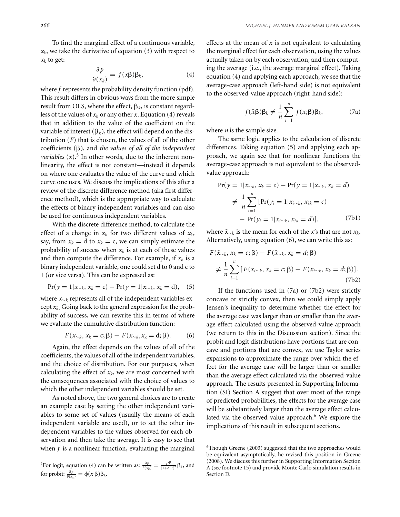To find the marginal effect of a continuous variable,  $x_k$ , we take the derivative of equation (3) with respect to  $x_k$  to get:

$$
\frac{\partial p}{\partial (x_k)} = f(x\beta)\beta_k, \qquad (4)
$$

where *f* represents the probability density function (pdf). This result differs in obvious ways from the more simple result from OLS, where the effect,  $\beta_k$ , is constant regardless of the values of  $x_k$  or any other *x*. Equation (4) reveals that in addition to the value of the coefficient on the variable of interest  $(\beta_k)$ , the effect will depend on the distribution (*F*) that is chosen, the values of all of the other coefficients ( $\beta$ ), and *the values of all of the independent variables*  $(x)$ .<sup>5</sup> In other words, due to the inherent nonlinearity, the effect is not constant—instead it depends on where one evaluates the value of the curve and which curve one uses. We discuss the implications of this after a review of the discrete difference method (aka first difference method), which is the appropriate way to calculate the effects of binary independent variables and can also be used for continuous independent variables.

With the discrete difference method, to calculate the effect of a change in  $x_k$  for two different values of  $x_k$ , say, from  $x_k = d$  to  $x_k = c$ , we can simply estimate the probability of success when  $x_k$  is at each of these values and then compute the difference. For example, if  $x_k$  is a binary independent variable, one could set d to 0 and c to 1 (or vice versa). This can be expressed as:

$$
Pr(y = 1 | x_{\sim k}, x_k = c) - Pr(y = 1 | x_{\sim k}, x_k = d), \quad (5)
$$

where *x*∼*<sup>k</sup>* represents all of the independent variables except  $x_k$ . Going back to the general expression for the probability of success, we can rewrite this in terms of where we evaluate the cumulative distribution function:

$$
F(x_{\sim k}, x_k = c; \beta) - F(x_{\sim k}, x_k = d; \beta).
$$
 (6)

Again, the effect depends on the values of all of the coefficients, the values of all of the independent variables, and the choice of distribution. For our purposes, when calculating the effect of  $x_k$ , we are most concerned with the consequences associated with the choice of values to which the other independent variables should be set.

As noted above, the two general choices are to create an example case by setting the other independent variables to some set of values (usually the means of each independent variable are used), or to set the other independent variables to the values observed for each observation and then take the average. It is easy to see that when *f* is a nonlinear function, evaluating the marginal

<sup>5</sup>For logit, equation (4) can be written as:  $\frac{\partial p}{\partial (x_k)} = \frac{e^{x\beta}}{(1 + e^{x\beta})^2} \beta_k$ , and for probit:  $\frac{\partial p}{\partial (x_k)} = \phi(x \beta) \beta_k$ .

effects at the mean of *x* is not equivalent to calculating the marginal effect for each observation, using the values actually taken on by each observation, and then computing the average (i.e., the average marginal effect). Taking equation (4) and applying each approach, we see that the average-case approach (left-hand side) is not equivalent to the observed-value approach (right-hand side):

$$
f(\bar{x}\beta)\beta_k \neq \frac{1}{n}\sum_{i=1}^n f(x_i\beta)\beta_k,
$$
 (7a)

where *n* is the sample size.

The same logic applies to the calculation of discrete differences. Taking equation (5) and applying each approach, we again see that for nonlinear functions the average-case approach is not equivalent to the observedvalue approach:

$$
\Pr(y = 1 | \bar{x}_{\sim k}, x_k = c) - \Pr(y = 1 | \bar{x}_{\sim k}, x_k = d)
$$
  

$$
\neq \frac{1}{n} \sum_{i=1}^{n} [\Pr(y_i = 1 | x_{i \sim k}, x_{ik} = c)] - \Pr(y_i = 1 | x_{i \sim k}, x_{ik} = d)],
$$
 (7b1)

where *x*¯∼*<sup>k</sup>* is the mean for each of the *x*'s that are not *xk*. Alternatively, using equation (6), we can write this as:

$$
F(\bar{x}_{\sim k}, x_k = c; \beta) - F(\bar{x}_{\sim k}, x_k = d; \beta)
$$
  

$$
\neq \frac{1}{n} \sum_{i=1}^n [F(x_{i \sim k}, x_k = c; \beta) - F(x_{i \sim k}, x_k = d; \beta)].
$$
  
(7b2)

If the functions used in (7a) or (7b2) were strictly concave or strictly convex, then we could simply apply Jensen's inequality to determine whether the effect for the average case was larger than or smaller than the average effect calculated using the observed-value approach (we return to this in the Discussion section). Since the probit and logit distributions have portions that are concave and portions that are convex, we use Taylor series expansions to approximate the range over which the effect for the average case will be larger than or smaller than the average effect calculated via the observed-value approach. The results presented in Supporting Information (SI) Section A suggest that over most of the range of predicted probabilities, the effects for the average case will be substantively larger than the average effect calculated via the observed-value approach.<sup>6</sup> We explore the implications of this result in subsequent sections.

<sup>&</sup>lt;sup>6</sup>Though Greene (2003) suggested that the two approaches would be equivalent asymptotically, he revised this position in Greene (2008). We discuss this further in Supporting Information Section A (see footnote 15) and provide Monte Carlo simulation results in Section D.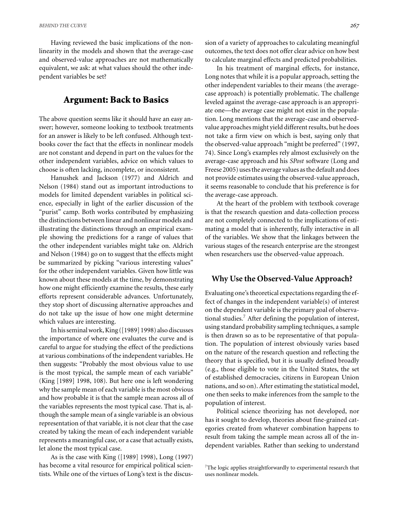Having reviewed the basic implications of the nonlinearity in the models and shown that the average-case and observed-value approaches are not mathematically equivalent, we ask: at what values should the other independent variables be set?

## **Argument: Back to Basics**

The above question seems like it should have an easy answer; however, someone looking to textbook treatments for an answer is likely to be left confused. Although textbooks cover the fact that the effects in nonlinear models are not constant and depend in part on the values for the other independent variables, advice on which values to choose is often lacking, incomplete, or inconsistent.

Hanushek and Jackson (1977) and Aldrich and Nelson (1984) stand out as important introductions to models for limited dependent variables in political science, especially in light of the earlier discussion of the "purist" camp. Both works contributed by emphasizing the distinctions between linear and nonlinear models and illustrating the distinctions through an empirical example showing the predictions for a range of values that the other independent variables might take on. Aldrich and Nelson (1984) go on to suggest that the effects might be summarized by picking "various interesting values" for the other independent variables. Given how little was known about these models at the time, by demonstrating how one might efficiently examine the results, these early efforts represent considerable advances. Unfortunately, they stop short of discussing alternative approaches and do not take up the issue of how one might determine which values are interesting.

In his seminalwork, King ([1989] 1998) also discusses the importance of where one evaluates the curve and is careful to argue for studying the effect of the predictions at various combinations of the independent variables. He then suggests: "Probably the most obvious value to use is the most typical, the sample mean of each variable" (King [1989] 1998, 108). But here one is left wondering why the sample mean of each variable is the most obvious and how probable it is that the sample mean across all of the variables represents the most typical case. That is, although the sample mean of a single variable is an obvious representation of that variable, it is not clear that the case created by taking the mean of each independent variable represents a meaningful case, or a case that actually exists, let alone the most typical case.

As is the case with King ([1989] 1998), Long (1997) has become a vital resource for empirical political scientists. While one of the virtues of Long's text is the discussion of a variety of approaches to calculating meaningful outcomes, the text does not offer clear advice on how best to calculate marginal effects and predicted probabilities.

In his treatment of marginal effects, for instance, Long notes that while it is a popular approach, setting the other independent variables to their means (the averagecase approach) is potentially problematic. The challenge leveled against the average-case approach is an appropriate one—the average case might not exist in the population. Long mentions that the average-case and observedvalue approaches might yield different results, but he does not take a firm view on which is best, saying only that the observed-value approach "might be preferred" (1997, 74). Since Long's examples rely almost exclusively on the average-case approach and his *SPost* software (Long and Freese 2005) uses the average values as the default and does not provide estimates using the observed-value approach, it seems reasonable to conclude that his preference is for the average-case approach.

At the heart of the problem with textbook coverage is that the research question and data-collection process are not completely connected to the implications of estimating a model that is inherently, fully interactive in all of the variables. We show that the linkages between the various stages of the research enterprise are the strongest when researchers use the observed-value approach.

#### **Why Use the Observed-Value Approach?**

Evaluating one's theoretical expectations regarding the effect of changes in the independent variable(s) of interest on the dependent variable is the primary goal of observational studies.<sup>7</sup> After defining the population of interest, using standard probability sampling techniques, a sample is then drawn so as to be representative of that population. The population of interest obviously varies based on the nature of the research question and reflecting the theory that is specified, but it is usually defined broadly (e.g., those eligible to vote in the United States, the set of established democracies, citizens in European Union nations, and so on). After estimating the statistical model, one then seeks to make inferences from the sample to the population of interest.

Political science theorizing has not developed, nor has it sought to develop, theories about fine-grained categories created from whatever combination happens to result from taking the sample mean across all of the independent variables. Rather than seeking to understand

 $7$ The logic applies straightforwardly to experimental research that uses nonlinear models.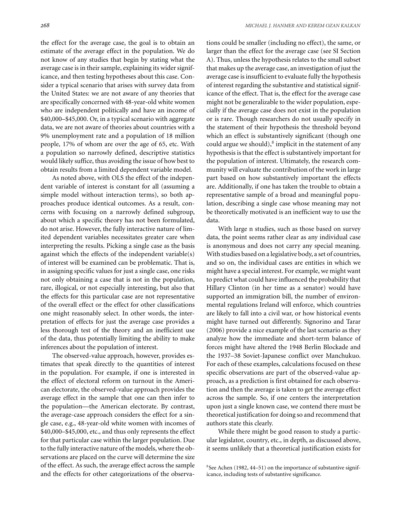the effect for the average case, the goal is to obtain an estimate of the average effect in the population. We do not know of any studies that begin by stating what the average case is in their sample, explaining its wider significance, and then testing hypotheses about this case. Consider a typical scenario that arises with survey data from the United States: we are not aware of any theories that are specifically concerned with 48-year-old white women who are independent politically and have an income of \$40,000–\$45,000. Or, in a typical scenario with aggregate data, we are not aware of theories about countries with a 9% unemployment rate and a population of 18 million people, 17% of whom are over the age of 65, etc. With a population so narrowly defined, descriptive statistics would likely suffice, thus avoiding the issue of how best to obtain results from a limited dependent variable model.

As noted above, with OLS the effect of the independent variable of interest is constant for all (assuming a simple model without interaction terms), so both approaches produce identical outcomes. As a result, concerns with focusing on a narrowly defined subgroup, about which a specific theory has not been formulated, do not arise. However, the fully interactive nature of limited dependent variables necessitates greater care when interpreting the results. Picking a single case as the basis against which the effects of the independent variable(s) of interest will be examined can be problematic. That is, in assigning specific values for just a single case, one risks not only obtaining a case that is not in the population, rare, illogical, or not especially interesting, but also that the effects for this particular case are not representative of the overall effect or the effect for other classifications one might reasonably select. In other words, the interpretation of effects for just the average case provides a less thorough test of the theory and an inefficient use of the data, thus potentially limiting the ability to make inferences about the population of interest.

The observed-value approach, however, provides estimates that speak directly to the quantities of interest in the population. For example, if one is interested in the effect of electoral reform on turnout in the American electorate, the observed-value approach provides the average effect in the sample that one can then infer to the population—the American electorate. By contrast, the average-case approach considers the effect for a single case, e.g., 48-year-old white women with incomes of \$40,000–\$45,000, etc., and thus only represents the effect for that particular case within the larger population. Due to the fully interactive nature of the models, where the observations are placed on the curve will determine the size of the effect. As such, the average effect across the sample and the effects for other categorizations of the observations could be smaller (including no effect), the same, or larger than the effect for the average case (see SI Section A). Thus, unless the hypothesis relates to the small subset that makes up the average case, an investigation of just the average case is insufficient to evaluate fully the hypothesis of interest regarding the substantive and statistical significance of the effect. That is, the effect for the average case might not be generalizable to the wider population, especially if the average case does not exist in the population or is rare. Though researchers do not usually specify in the statement of their hypothesis the threshold beyond which an effect is substantively significant (though one could argue we should), $^8$  implicit in the statement of any hypothesis is that the effect is substantively important for the population of interest. Ultimately, the research community will evaluate the contribution of the work in large part based on how substantively important the effects are. Additionally, if one has taken the trouble to obtain a representative sample of a broad and meaningful population, describing a single case whose meaning may not be theoretically motivated is an inefficient way to use the data.

With large n studies, such as those based on survey data, the point seems rather clear as any individual case is anonymous and does not carry any special meaning. With studies based on a legislative body, a set of countries, and so on, the individual cases are entities in which we might have a special interest. For example, we might want to predict what could have influenced the probability that Hillary Clinton (in her time as a senator) would have supported an immigration bill, the number of environmental regulations Ireland will enforce, which countries are likely to fall into a civil war, or how historical events might have turned out differently. Signorino and Tarar (2006) provide a nice example of the last scenario as they analyze how the immediate and short-term balance of forces might have altered the 1948 Berlin Blockade and the 1937–38 Soviet-Japanese conflict over Manchukuo. For each of these examples, calculations focused on these specific observations are part of the observed-value approach, as a prediction is first obtained for each observation and then the average is taken to get the average effect across the sample. So, if one centers the interpretation upon just a single known case, we contend there must be theoretical justification for doing so and recommend that authors state this clearly.

While there might be good reason to study a particular legislator, country, etc., in depth, as discussed above, it seems unlikely that a theoretical justification exists for

<sup>&</sup>lt;sup>8</sup>See Achen (1982, 44–51) on the importance of substantive significance, including tests of substantive significance.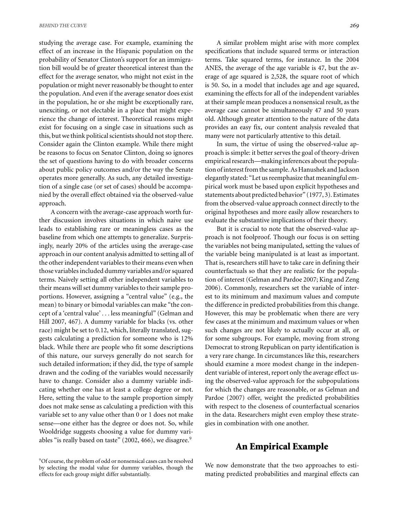studying the average case. For example, examining the effect of an increase in the Hispanic population on the probability of Senator Clinton's support for an immigration bill would be of greater theoretical interest than the effect for the average senator, who might not exist in the population or might never reasonably be thought to enter the population. And even if the average senator does exist in the population, he or she might be exceptionally rare, unexciting, or not electable in a place that might experience the change of interest. Theoretical reasons might exist for focusing on a single case in situations such as this, but we think political scientists should not stop there. Consider again the Clinton example. While there might be reasons to focus on Senator Clinton, doing so ignores the set of questions having to do with broader concerns about public policy outcomes and/or the way the Senate operates more generally. As such, any detailed investigation of a single case (or set of cases) should be accompanied by the overall effect obtained via the observed-value approach.

A concern with the average-case approach worth further discussion involves situations in which naive use leads to establishing rare or meaningless cases as the baseline from which one attempts to generalize. Surprisingly, nearly 20% of the articles using the average-case approach in our content analysis admitted to setting all of the other independent variables to their means even when those variables included dummy variables and/or squared terms. Naively setting all other independent variables to their means will set dummy variables to their sample proportions. However, assigning a "central value" (e.g., the mean) to binary or bimodal variables can make "the concept of a 'central value' ... less meaningful" (Gelman and Hill 2007, 467). A dummy variable for blacks (vs. other race) might be set to 0.12, which, literally translated, suggests calculating a prediction for someone who is 12% black. While there are people who fit some descriptions of this nature, our surveys generally do not search for such detailed information; if they did, the type of sample drawn and the coding of the variables would necessarily have to change. Consider also a dummy variable indicating whether one has at least a college degree or not. Here, setting the value to the sample proportion simply does not make sense as calculating a prediction with this variable set to any value other than 0 or 1 does not make sense—one either has the degree or does not. So, while Wooldridge suggests choosing a value for dummy variables "is really based on taste" (2002, 466), we disagree.<sup>9</sup>

A similar problem might arise with more complex specifications that include squared terms or interaction terms. Take squared terms, for instance. In the 2004 ANES, the average of the age variable is 47, but the average of age squared is 2,528, the square root of which is 50. So, in a model that includes age and age squared, examining the effects for all of the independent variables at their sample mean produces a nonsensical result, as the average case cannot be simultaneously 47 and 50 years old. Although greater attention to the nature of the data provides an easy fix, our content analysis revealed that many were not particularly attentive to this detail.

In sum, the virtue of using the observed-value approach is simple: it better serves the goal of theory-driven empirical research—making inferences about the population of interest from the sample. As Hanushek and Jackson elegantly stated: "Let us reemphasize that meaningful empirical work must be based upon explicit hypotheses and statements about predicted behavior" (1977, 3). Estimates from the observed-value approach connect directly to the original hypotheses and more easily allow researchers to evaluate the substantive implications of their theory.

But it is crucial to note that the observed-value approach is not foolproof. Though our focus is on setting the variables not being manipulated, setting the values of the variable being manipulated is at least as important. That is, researchers still have to take care in defining their counterfactuals so that they are realistic for the population of interest (Gelman and Pardoe 2007; King and Zeng 2006). Commonly, researchers set the variable of interest to its minimum and maximum values and compute the difference in predicted probabilities from this change. However, this may be problematic when there are very few cases at the minimum and maximum values or when such changes are not likely to actually occur at all, or for some subgroups. For example, moving from strong Democrat to strong Republican on party identification is a very rare change. In circumstances like this, researchers should examine a more modest change in the independent variable of interest, report only the average effect using the observed-value approach for the subpopulations for which the changes are reasonable, or as Gelman and Pardoe (2007) offer, weight the predicted probabilities with respect to the closeness of counterfactual scenarios in the data. Researchers might even employ these strategies in combination with one another.

## **An Empirical Example**

We now demonstrate that the two approaches to estimating predicted probabilities and marginal effects can

<sup>9</sup>Of course, the problem of odd or nonsensical cases can be resolved by selecting the modal value for dummy variables, though the effects for each group might differ substantially.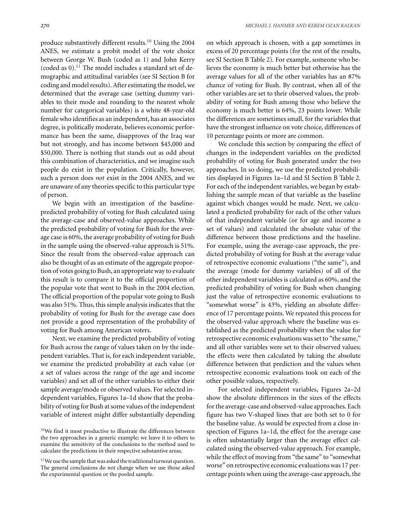*270 MICHAEL J. HANMER AND KEREM OZAN KALKAN*

produce substantively different results.<sup>10</sup> Using the 2004 ANES, we estimate a probit model of the vote choice between George W. Bush (coded as 1) and John Kerry (coded as  $0$ ).<sup>11</sup> The model includes a standard set of demographic and attitudinal variables (see SI Section B for coding and model results). After estimating the model, we determined that the average case (setting dummy variables to their mode and rounding to the nearest whole number for categorical variables) is a white 48-year-old female who identifies as an independent, has an associates degree, is politically moderate, believes economic performance has been the same, disapproves of the Iraq war but not strongly, and has income between \$45,000 and \$50,000. There is nothing that stands out as odd about this combination of characteristics, and we imagine such people do exist in the population. Critically, however, such a person does *not* exist in the 2004 ANES, and we are unaware of any theories specific to this particular type of person.

We begin with an investigation of the baselinepredicted probability of voting for Bush calculated using the average-case and observed-value approaches. While the predicted probability of voting for Bush for the average case is 60%, the average probability of voting for Bush in the sample using the observed-value approach is 51%. Since the result from the observed-value approach can also be thought of as an estimate of the aggregate proportion of votes going to Bush, an appropriate way to evaluate this result is to compare it to the official proportion of the popular vote that went to Bush in the 2004 election. The official proportion of the popular vote going to Bush was also 51%. Thus, this simple analysis indicates that the probability of voting for Bush for the average case does not provide a good representation of the probability of voting for Bush among American voters.

Next, we examine the predicted probability of voting for Bush across the range of values taken on by the independent variables. That is, for each independent variable, we examine the predicted probability at each value (or a set of values across the range of the age and income variables) and set all of the other variables to either their sample average/mode or observed values. For selected independent variables, Figures 1a–1d show that the probability of voting for Bush at some values of the independent variable of interest might differ substantially depending

on which approach is chosen, with a gap sometimes in excess of 20 percentage points (for the rest of the results, see SI Section B Table 2). For example, someone who believes the economy is much better but otherwise has the average values for all of the other variables has an 87% chance of voting for Bush. By contrast, when all of the other variables are set to their observed values, the probability of voting for Bush among those who believe the economy is much better is 64%, 23 points lower. While the differences are sometimes small, for the variables that have the strongest influence on vote choice, differences of 10 percentage points or more are common.

We conclude this section by comparing the effect of changes in the independent variables on the predicted probability of voting for Bush generated under the two approaches. In so doing, we use the predicted probabilities displayed in Figures 1a–1d and SI Section B Table 2. For each of the independent variables, we began by establishing the sample mean of that variable as the baseline against which changes would be made. Next, we calculated a predicted probability for each of the other values of that independent variable (or for age and income a set of values) and calculated the absolute value of the difference between those predictions and the baseline. For example, using the average-case approach, the predicted probability of voting for Bush at the average value of retrospective economic evaluations ("the same"), and the average (mode for dummy variables) of all of the other independent variables is calculated as 60%, and the predicted probability of voting for Bush when changing just the value of retrospective economic evaluations to "somewhat worse" is 43%, yielding an absolute difference of 17 percentage points. We repeated this process for the observed-value approach where the baseline was established as the predicted probability when the value for retrospective economic evaluations was set to "the same," and all other variables were set to their observed values; the effects were then calculated by taking the absolute difference between that prediction and the values when retrospective economic evaluations took on each of the other possible values, respectively.

For selected independent variables, Figures 2a–2d show the absolute differences in the sizes of the effects for the average-case and observed-value approaches. Each figure has two V-shaped lines that are both set to 0 for the baseline value. As would be expected from a close inspection of Figures 1a–1d, the effect for the average case is often substantially larger than the average effect calculated using the observed-value approach. For example, while the effect of moving from "the same" to "somewhat worse" on retrospective economic evaluations was 17 percentage points when using the average-case approach, the

<sup>&</sup>lt;sup>10</sup>We find it most productive to illustrate the differences between the two approaches in a generic example; we leave it to others to examine the sensitivity of the conclusions to the method used to calculate the predictions in their respective substantive areas.

<sup>&</sup>lt;sup>11</sup>We use the sample that was asked the traditional turnout question. The general conclusions do not change when we use those asked the experimental question or the pooled sample.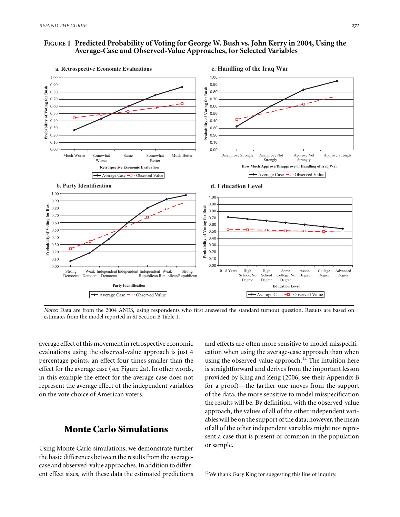#### **FIGURE 1 Predicted Probability of Voting for George W. Bush vs. John Kerry in 2004, Using the Average-Case and Observed-Value Approaches, for Selected Variables**



*Notes*: Data are from the 2004 ANES, using respondents who first answered the standard turnout question. Results are based on estimates from the model reported in SI Section B Table 1.

average effect of this movement in retrospective economic evaluations using the observed-value approach is just 4 percentage points, an effect four times smaller than the effect for the average case (see Figure 2a). In other words, in this example the effect for the average case does not represent the average effect of the independent variables on the vote choice of American voters.

## **Monte Carlo Simulations**

Using Monte Carlo simulations, we demonstrate further the basic differences between the results from the averagecase and observed-value approaches. In addition to different effect sizes, with these data the estimated predictions

and effects are often more sensitive to model misspecification when using the average-case approach than when using the observed-value approach.<sup>12</sup> The intuition here is straightforward and derives from the important lesson provided by King and Zeng (2006; see their Appendix B for a proof)—the farther one moves from the support of the data, the more sensitive to model misspecification the results will be. By definition, with the observed-value approach, the values of all of the other independent variables will be on the support of the data; however, the mean of all of the other independent variables might not represent a case that is present or common in the population or sample.

<sup>&</sup>lt;sup>12</sup>We thank Gary King for suggesting this line of inquiry.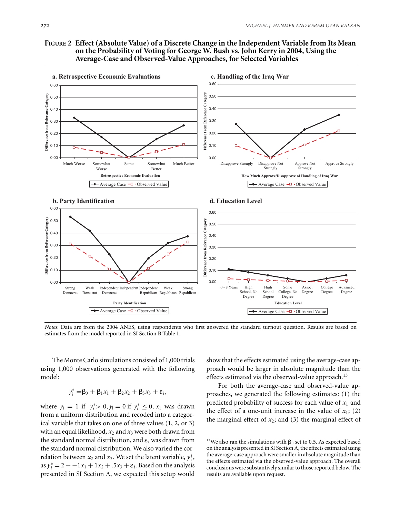#### **FIGURE 2 Effect (Absolute Value) of a Discrete Change in the Independent Variable from Its Mean on the Probability of Voting for George W. Bush vs. John Kerry in 2004, Using the Average-Case and Observed-Value Approaches, for Selected Variables**



*Notes*: Data are from the 2004 ANES, using respondents who first answered the standard turnout question. Results are based on estimates from the model reported in SI Section B Table 1.

The Monte Carlo simulations consisted of 1,000 trials using 1,000 observations generated with the following model:

$$
y_i^* = \beta_0 + \beta_1 x_1 + \beta_2 x_2 + \beta_3 x_3 + \varepsilon_i,
$$

where  $y_i = 1$  if  $y_i^* > 0, y_i = 0$  if  $y_i^* \le 0, x_1$  was drawn from a uniform distribution and recoded into a categorical variable that takes on one of three values (1, 2, or 3) with an equal likelihood,  $x_2$  and  $x_3$  were both drawn from the standard normal distribution, and ε*<sup>i</sup>* was drawn from the standard normal distribution. We also varied the correlation between  $x_2$  and  $x_3$ . We set the latent variable,  $y_i^*$ , as  $y_i^* = 2 - 1x_1 + 1x_2 + 0.5x_3 + \varepsilon_i$ . Based on the analysis presented in SI Section A, we expected this setup would

show that the effects estimated using the average-case approach would be larger in absolute magnitude than the effects estimated via the observed-value approach.<sup>13</sup>

For both the average-case and observed-value approaches, we generated the following estimates: (1) the predicted probability of success for each value of  $x_1$  and the effect of a one-unit increase in the value of  $x_1$ ; (2) the marginal effect of  $x_2$ ; and (3) the marginal effect of

<sup>13</sup>We also ran the simulations with  $\beta_0$  set to 0.5. As expected based on the analysis presented in SI Section A, the effects estimated using the average-case approach were smaller in absolute magnitude than the effects estimated via the observed-value approach. The overall conclusions were substantively similar to those reported below. The results are available upon request.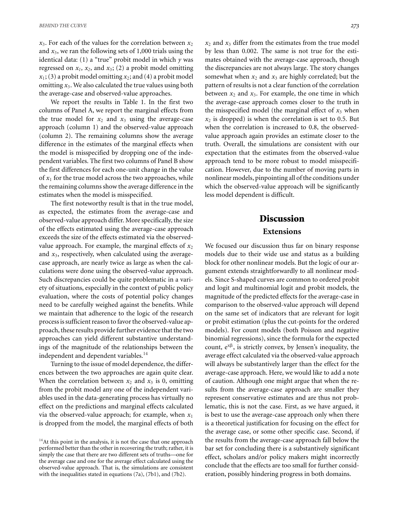$x_3$ . For each of the values for the correlation between  $x_2$ and *x*3, we ran the following sets of 1,000 trials using the identical data: (1) a "true" probit model in which *y* was regressed on  $x_1$ ,  $x_2$ , and  $x_3$ ; (2) a probit model omitting  $x_1$ ; (3) a probit model omitting  $x_2$ ; and (4) a probit model omitting *x*3. We also calculated the true values using both the average-case and observed-value approaches.

We report the results in Table 1. In the first two columns of Panel A, we report the marginal effects from the true model for  $x_2$  and  $x_3$  using the average-case approach (column 1) and the observed-value approach (column 2). The remaining columns show the average difference in the estimates of the marginal effects when the model is misspecified by dropping one of the independent variables. The first two columns of Panel B show the first differences for each one-unit change in the value of  $x_1$  for the true model across the two approaches, while the remaining columns show the average difference in the estimates when the model is misspecified.

The first noteworthy result is that in the true model, as expected, the estimates from the average-case and observed-value approach differ. More specifically, the size of the effects estimated using the average-case approach exceeds the size of the effects estimated via the observedvalue approach. For example, the marginal effects of  $x_2$ and *x*3, respectively, when calculated using the averagecase approach, are nearly twice as large as when the calculations were done using the observed-value approach. Such discrepancies could be quite problematic in a variety of situations, especially in the context of public policy evaluation, where the costs of potential policy changes need to be carefully weighed against the benefits. While we maintain that adherence to the logic of the research process is sufficient reason to favor the observed-value approach, these results provide further evidence that the two approaches can yield different substantive understandings of the magnitude of the relationships between the independent and dependent variables.<sup>14</sup>

Turning to the issue of model dependence, the differences between the two approaches are again quite clear. When the correlation between  $x_2$  and  $x_3$  is 0, omitting from the probit model any one of the independent variables used in the data-generating process has virtually no effect on the predictions and marginal effects calculated via the observed-value approach; for example, when  $x_1$ is dropped from the model, the marginal effects of both

 $x_2$  and  $x_3$  differ from the estimates from the true model by less than 0.002. The same is not true for the estimates obtained with the average-case approach, though the discrepancies are not always large. The story changes somewhat when  $x_2$  and  $x_3$  are highly correlated; but the pattern of results is not a clear function of the correlation between  $x_2$  and  $x_3$ . For example, the one time in which the average-case approach comes closer to the truth in the misspecified model (the marginal effect of  $x_3$  when  $x<sub>2</sub>$  is dropped) is when the correlation is set to 0.5. But when the correlation is increased to 0.8, the observedvalue approach again provides an estimate closer to the truth. Overall, the simulations are consistent with our expectation that the estimates from the observed-value approach tend to be more robust to model misspecification. However, due to the number of moving parts in nonlinear models, pinpointing all of the conditions under which the observed-value approach will be significantly less model dependent is difficult.

## **Discussion**

## **Extensions**

We focused our discussion thus far on binary response models due to their wide use and status as a building block for other nonlinear models. But the logic of our argument extends straightforwardly to all nonlinear models. Since S-shaped curves are common to ordered probit and logit and multinomial logit and probit models, the magnitude of the predicted effects for the average-case in comparison to the observed-value approach will depend on the same set of indicators that are relevant for logit or probit estimation (plus the cut-points for the ordered models). For count models (both Poisson and negative binomial regressions), since the formula for the expected count,  $e^{x\beta}$ , is strictly convex, by Jensen's inequality, the average effect calculated via the observed-value approach will always be substantively larger than the effect for the average-case approach. Here, we would like to add a note of caution. Although one might argue that when the results from the average-case approach are smaller they represent conservative estimates and are thus not problematic, this is not the case. First, as we have argued, it is best to use the average-case approach only when there is a theoretical justification for focusing on the effect for the average case, or some other specific case. Second, if the results from the average-case approach fall below the bar set for concluding there is a substantively significant effect, scholars and/or policy makers might incorrectly conclude that the effects are too small for further consideration, possibly hindering progress in both domains.

<sup>&</sup>lt;sup>14</sup>At this point in the analysis, it is not the case that one approach performed better than the other in recovering the truth; rather, it is simply the case that there are two different sets of truths—one for the average case and one for the average effect calculated using the observed-value approach. That is, the simulations are consistent with the inequalities stated in equations (7a), (7b1), and (7b2).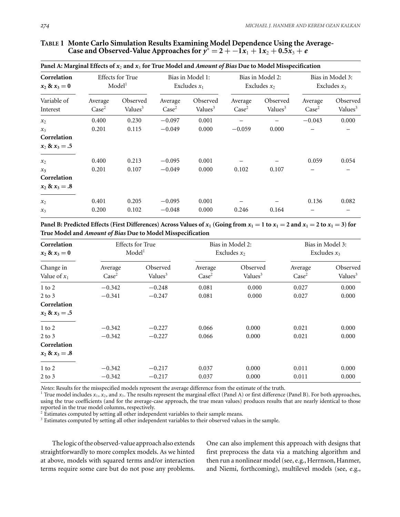| TABLE 1 Monte Carlo Simulation Results Examining Model Dependence Using the Average- |
|--------------------------------------------------------------------------------------|
| Case and Observed-Value Approaches for $y^* = 2 - 1x_1 + 1x_2 + 0.5x_3 + e$          |

| Panel A: Marginal Effects of $x_2$ and $x_3$ for True Model and Amount of Bias Due to Model Misspecification |                                               |                                 |                                    |                                 |                                    |                                 |                                    |                                 |  |  |
|--------------------------------------------------------------------------------------------------------------|-----------------------------------------------|---------------------------------|------------------------------------|---------------------------------|------------------------------------|---------------------------------|------------------------------------|---------------------------------|--|--|
| Correlation<br>$x_2 \& x_3 = 0$                                                                              | <b>Effects for True</b><br>Model <sup>1</sup> |                                 | Bias in Model 1:<br>Excludes $x_1$ |                                 | Bias in Model 2:<br>Excludes $x_2$ |                                 | Bias in Model 3:<br>Excludes $x_3$ |                                 |  |  |
| Variable of<br>Interest                                                                                      | Average<br>Case <sup>2</sup>                  | Observed<br>Values <sup>3</sup> | Average<br>Case <sup>2</sup>       | Observed<br>Values <sup>3</sup> | Average<br>Case <sup>2</sup>       | Observed<br>Values <sup>3</sup> | Average<br>Case <sup>2</sup>       | Observed<br>Values <sup>3</sup> |  |  |
| $\mathcal{X}_{2}$                                                                                            | 0.400                                         | 0.230                           | $-0.097$                           | 0.001                           |                                    |                                 | $-0.043$                           | 0.000                           |  |  |
| $x_3$                                                                                                        | 0.201                                         | 0.115                           | $-0.049$                           | 0.000                           | $-0.059$                           | 0.000                           |                                    |                                 |  |  |
| Correlation                                                                                                  |                                               |                                 |                                    |                                 |                                    |                                 |                                    |                                 |  |  |
| $x_2 \& x_3 = .5$                                                                                            |                                               |                                 |                                    |                                 |                                    |                                 |                                    |                                 |  |  |
| $\mathcal{X}_{2}$                                                                                            | 0.400                                         | 0.213                           | $-0.095$                           | 0.001                           |                                    |                                 | 0.059                              | 0.054                           |  |  |
| $x_3$                                                                                                        | 0.201                                         | 0.107                           | $-0.049$                           | 0.000                           | 0.102                              | 0.107                           |                                    |                                 |  |  |
| Correlation                                                                                                  |                                               |                                 |                                    |                                 |                                    |                                 |                                    |                                 |  |  |
| $x_2 \& x_3 = .8$                                                                                            |                                               |                                 |                                    |                                 |                                    |                                 |                                    |                                 |  |  |
| $\mathcal{X}_{2}$                                                                                            | 0.401                                         | 0.205                           | $-0.095$                           | 0.001                           |                                    |                                 | 0.136                              | 0.082                           |  |  |
| $\mathcal{X}_3$                                                                                              | 0.200                                         | 0.102                           | $-0.048$                           | 0.000                           | 0.246                              | 0.164                           |                                    |                                 |  |  |

Panel B: Predicted Effects (First Differences) Across Values of  $x_1$  (Going from  $x_1 = 1$  to  $x_1 = 2$  and  $x_1 = 2$  to  $x_1 = 3$ ) for **True Model and** *Amount of Bias* **Due to Model Misspecification**

| Correlation<br>$x_2 \& x_3 = 0$  | <b>Effects for True</b><br>Model <sup>1</sup> |                                 | Bias in Model 2:<br>Excludes $x_2$ |                                 | Bias in Model 3:<br>Excludes $x_3$ |                                 |
|----------------------------------|-----------------------------------------------|---------------------------------|------------------------------------|---------------------------------|------------------------------------|---------------------------------|
| Change in<br>Value of $x_1$      | Average<br>$\text{Case}^2$                    | Observed<br>Values <sup>3</sup> | Average<br>$\text{Case}^2$         | Observed<br>Values <sup>3</sup> | Average<br>$\text{Case}^2$         | Observed<br>Values <sup>3</sup> |
| $1$ to $2$                       | $-0.342$                                      | $-0.248$                        | 0.081                              | 0.000                           | 0.027                              | 0.000                           |
| $2$ to $3$                       | $-0.341$                                      | $-0.247$                        | 0.081                              | 0.000                           | 0.027                              | 0.000                           |
| Correlation<br>$x_2 \& x_3 = .5$ |                                               |                                 |                                    |                                 |                                    |                                 |
| $1$ to $2$                       | $-0.342$                                      | $-0.227$                        | 0.066                              | 0.000                           | 0.021                              | 0.000                           |
| $2$ to $3$                       | $-0.342$                                      | $-0.227$                        | 0.066                              | 0.000                           | 0.021                              | 0.000                           |
| Correlation                      |                                               |                                 |                                    |                                 |                                    |                                 |
| $x_2 \& x_3 = .8$                |                                               |                                 |                                    |                                 |                                    |                                 |
| $1$ to $2$                       | $-0.342$                                      | $-0.217$                        | 0.037                              | 0.000                           | 0.011                              | 0.000                           |
| $2$ to $3$                       | $-0.342$                                      | $-0.217$                        | 0.037                              | 0.000                           | 0.011                              | 0.000                           |

*Notes*: Results for the misspecified models represent the average difference from the estimate of the truth.<br><sup>1</sup> True model includes  $x_1$ ,  $x_2$ , and  $x_3$ . The results represent the marginal effect (Panel A) or first d using the true coefficients (and for the average-case approach, the true mean values) produces results that are nearly identical to those reported in the true model columns, respectively.

 $2$  Estimates computed by setting all other independent variables to their sample means.

<sup>3</sup> Estimates computed by setting all other independent variables to their observed values in the sample.

The logic of the observed-value approach also extends straightforwardly to more complex models. As we hinted at above, models with squared terms and/or interaction terms require some care but do not pose any problems.

One can also implement this approach with designs that first preprocess the data via a matching algorithm and then run a nonlinear model (see, e.g., Herrnson, Hanmer, and Niemi, forthcoming), multilevel models (see, e.g.,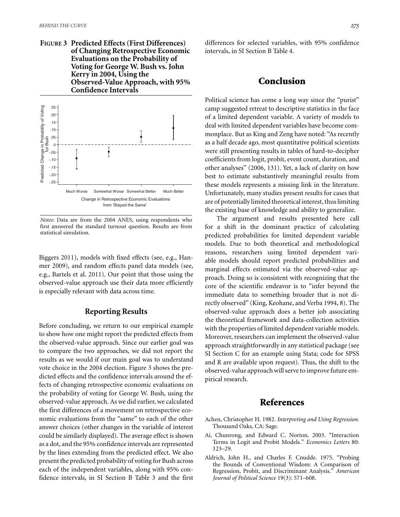**FIGURE 3 Predicted Effects (First Differences) of Changing Retrospective Economic Evaluations on the Probability of Voting for George W. Bush vs. John Kerry in 2004, Using the Observed-Value Approach, with 95% Confidence Intervals**



*Notes*: Data are from the 2004 ANES, using respondents who first answered the standard turnout question. Results are from statistical simulation.

Biggers 2011), models with fixed effects (see, e.g., Hanmer 2009), and random effects panel data models (see, e.g., Bartels et al. 2011). Our point that those using the observed-value approach use their data more efficiently is especially relevant with data across time.

#### **Reporting Results**

Before concluding, we return to our empirical example to show how one might report the predicted effects from the observed-value approach. Since our earlier goal was to compare the two approaches, we did not report the results as we would if our main goal was to understand vote choice in the 2004 election. Figure 3 shows the predicted effects and the confidence intervals around the effects of changing retrospective economic evaluations on the probability of voting for George W. Bush, using the observed-value approach. As we did earlier, we calculated the first differences of a movement on retrospective economic evaluations from the "same" to each of the other answer choices (other changes in the variable of interest could be similarly displayed). The average effect is shown as a dot, and the 95% confidence intervals are represented by the lines extending from the predicted effect. We also present the predicted probability of voting for Bush across each of the independent variables, along with 95% confidence intervals, in SI Section B Table 3 and the first

differences for selected variables, with 95% confidence intervals, in SI Section B Table 4.

## **Conclusion**

Political science has come a long way since the "purist" camp suggested retreat to descriptive statistics in the face of a limited dependent variable. A variety of models to deal with limited dependent variables have become commonplace. But as King and Zeng have noted: "As recently as a half decade ago, most quantitative political scientists were still presenting results in tables of hard-to-decipher coefficients from logit, probit, event count, duration, and other analyses" (2006, 131). Yet, a lack of clarity on how best to estimate substantively meaningful results from these models represents a missing link in the literature. Unfortunately, many studies present results for cases that are of potentially limited theoretical interest, thus limiting the existing base of knowledge and ability to generalize.

The argument and results presented here call for a shift in the dominant practice of calculating predicted probabilities for limited dependent variable models. Due to both theoretical and methodological reasons, researchers using limited dependent variable models should report predicted probabilities and marginal effects estimated via the observed-value approach. Doing so is consistent with recognizing that the core of the scientific endeavor is to "infer beyond the immediate data to something broader that is not directly observed" (King, Keohane, and Verba 1994, 8). The observed-value approach does a better job associating the theoretical framework and data-collection activities with the properties of limited dependent variable models. Moreover, researchers can implement the observed-value approach straightforwardly in any statistical package (see SI Section C for an example using Stata; code for SPSS and R are available upon request). Thus, the shift to the observed-value approach will serve to improve future empirical research.

## **References**

- Achen, Christopher H. 1982. *Interpreting and Using Regression*. Thousand Oaks, CA: Sage.
- Ai, Chunrong, and Edward C. Norton. 2003. "Interaction Terms in Logit and Probit Models." *Economics Letters* 80: 123–29.
- Aldrich, John H., and Charles F. Cnudde. 1975. "Probing the Bounds of Conventional Wisdom: A Comparison of Regression, Probit, and Discriminant Analysis." *American Journal of Political Science* 19(3): 571–608.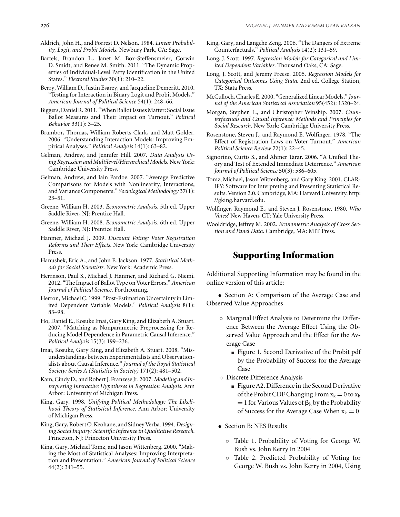- Aldrich, John H., and Forrest D. Nelson. 1984. *Linear Probability, Logit, and Probit Models*. Newbury Park, CA: Sage.
- Bartels, Brandon L., Janet M. Box-Steffensmeier, Corwin D. Smidt, and Renee M. Smith. 2011. "The Dynamic Properties of Individual-Level Party Identification in the United States." *Electoral Studies* 30(1): 210–22.
- Berry, William D., Justin Esarey, and Jacqueline Demeritt. 2010. "Testing for Interaction in Binary Logit and Probit Models." *American Journal of Political Science* 54(1): 248–66.
- Biggers, Daniel R. 2011. "When Ballot Issues Matter: Social Issue Ballot Measures and Their Impact on Turnout." *Political Behavior* 33(1): 3–25.
- Brambor, Thomas, William Roberts Clark, and Matt Golder. 2006. "Understanding Interaction Models: Improving Empirical Analyses." *Political Analysis* 14(1): 63–82.
- Gelman, Andrew, and Jennifer Hill. 2007. *Data Analysis Using Regression and Multilevel/Hierarchical Models*. New York: Cambridge University Press.
- Gelman, Andrew, and Iain Pardoe. 2007. "Average Predictive Comparisons for Models with Nonlinearity, Interactions, and Variance Components." *Sociological Methodology* 37(1): 23–51.
- Greene, William H. 2003. *Econometric Analysis*. 5th ed. Upper Saddle River, NJ: Prentice Hall.
- Greene, William H. 2008. *Econometric Analysis*. 6th ed. Upper Saddle River, NJ: Prentice Hall.
- Hanmer, Michael J. 2009. *Discount Voting: Voter Registration Reforms and Their Effects*. New York: Cambridge University Press.
- Hanushek, Eric A., and John E. Jackson. 1977. *Statistical Methods for Social Scientists*. New York: Academic Press.
- Herrnson, Paul S., Michael J. Hanmer, and Richard G. Niemi. 2012. "The Impact of Ballot Type on Voter Errors."*American Journal of Political Science*. Forthcoming.
- Herron, Michael C. 1999. "Post-Estimation Uncertainty in Limited Dependent Variable Models." *Political Analysis* 8(1): 83–98.
- Ho, Daniel E., Kosuke Imai, Gary King, and Elizabeth A. Stuart. 2007. "Matching as Nonparametric Preprocessing for Reducing Model Dependence in Parametric Causal Inference." *Political Analysis* 15(3): 199–236.
- Imai, Kosuke, Gary King, and Elizabeth A. Stuart. 2008. "Misunderstandings between Experimentalists and Observationalists about Causal Inference." *Journal of the Royal Statistical Society: Series A (Statistics in Society)* 171(2): 481–502.
- Kam, Cindy D., and Robert J. Franzese Jr. 2007.*Modeling and Interpreting Interactive Hypotheses in Regression Analysis*. Ann Arbor: University of Michigan Press.
- King, Gary. 1998. *Unifying Political Methodology: The Likelihood Theory of Statistical Inference*. Ann Arbor: University of Michigan Press.
- King, Gary, Robert O. Keohane, and Sidney Verba. 1994.*Designing Social Inquiry: Scientific Inference in Qualitative Research*. Princeton, NJ: Princeton University Press.
- King, Gary, Michael Tomz, and Jason Wittenberg. 2000. "Making the Most of Statistical Analyses: Improving Interpretation and Presentation." *American Journal of Political Science* 44(2): 341–55.
- King, Gary, and Langche Zeng. 2006. "The Dangers of Extreme Counterfactuals." *Political Analysis* 14(2): 131–59.
- Long, J. Scott. 1997. *Regression Models for Categorical and Limited Dependent Variables*. Thousand Oaks, CA: Sage.
- Long, J. Scott, and Jeremy Freese. 2005. *Regression Models for Categorical Outcomes Using Stata*. 2nd ed. College Station, TX: Stata Press.
- McCulloch, Charles E. 2000. "Generalized Linear Models." *Journal of the American Statistical Association* 95(452): 1320–24.
- Morgan, Stephen L., and Christopher Winship. 2007. *Counterfactuals and Causal Inference: Methods and Principles for Social Research*. New York: Cambridge University Press.
- Rosenstone, Steven J., and Raymond E. Wolfinger. 1978. "The Effect of Registration Laws on Voter Turnout." *American Political Science Review* 72(1): 22–45.
- Signorino, Curtis S., and Ahmer Tarar. 2006. "A Unified Theory and Test of Extended Immediate Deterrence." *American Journal of Political Science* 50(3): 586–605.
- Tomz, Michael, Jason Wittenberg, and Gary King. 2001. CLAR-IFY: Software for Interpreting and Presenting Statistical Results. Version 2.0. Cambridge, MA: Harvard University. http: //gking.harvard.edu.
- Wolfinger, Raymond E., and Steven J. Rosenstone. 1980. *Who Votes?* New Haven, CT: Yale University Press.
- Wooldridge, Jeffrey M. 2002. *Econometric Analysis of Cross Section and Panel Data*. Cambridge, MA: MIT Press.

## **Supporting Information**

Additional Supporting Information may be found in the online version of this article:

• Section A: Comparison of the Average Case and Observed Value Approaches

- Marginal Effect Analysis to Determine the Difference Between the Average Effect Using the Observed Value Approach and the Effect for the Average Case
	- Figure 1. Second Derivative of the Probit pdf by the Probability of Success for the Average Case
- Discrete Difference Analysis
	- Figure A2. Difference in the Second Derivative of the Probit CDF Changing From  $x_k = 0$  to  $x_k$  $=$  1 for Various Values of  $\beta_k$  by the Probability of Success for the Average Case When  $x_k = 0$
- Section B: NES Results
	- Table 1. Probability of Voting for George W. Bush vs. John Kerry In 2004
	- Table 2. Predicted Probability of Voting for George W. Bush vs. John Kerry in 2004, Using